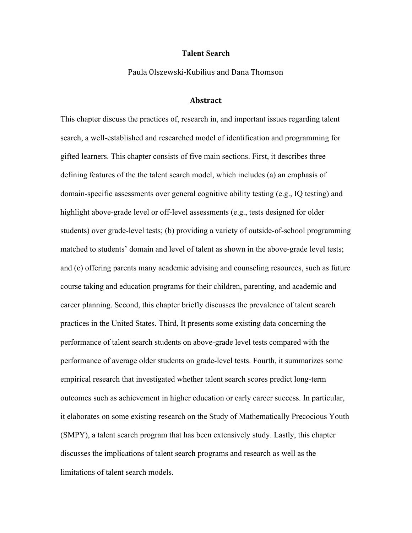### **Talent Search**

Paula Olszewski-Kubilius and Dana Thomson

## **Abstract**

This chapter discuss the practices of, research in, and important issues regarding talent search, a well-established and researched model of identification and programming for gifted learners. This chapter consists of five main sections. First, it describes three defining features of the the talent search model, which includes (a) an emphasis of domain-specific assessments over general cognitive ability testing (e.g., IQ testing) and highlight above-grade level or off-level assessments (e.g., tests designed for older students) over grade-level tests; (b) providing a variety of outside-of-school programming matched to students' domain and level of talent as shown in the above-grade level tests; and (c) offering parents many academic advising and counseling resources, such as future course taking and education programs for their children, parenting, and academic and career planning. Second, this chapter briefly discusses the prevalence of talent search practices in the United States. Third, It presents some existing data concerning the performance of talent search students on above-grade level tests compared with the performance of average older students on grade-level tests. Fourth, it summarizes some empirical research that investigated whether talent search scores predict long-term outcomes such as achievement in higher education or early career success. In particular, it elaborates on some existing research on the Study of Mathematically Precocious Youth (SMPY), a talent search program that has been extensively study. Lastly, this chapter discusses the implications of talent search programs and research as well as the limitations of talent search models.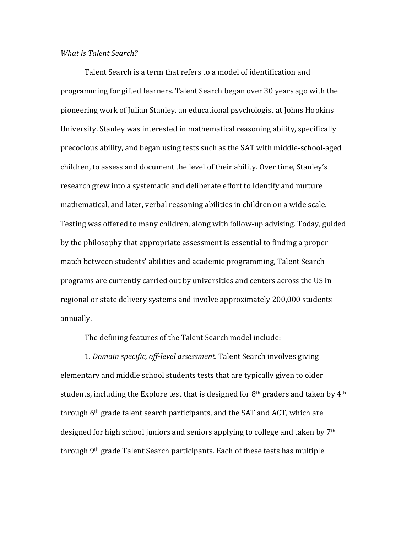# *What is Talent Search?*

Talent Search is a term that refers to a model of identification and programming for gifted learners. Talent Search began over 30 years ago with the pioneering work of Julian Stanley, an educational psychologist at Johns Hopkins University. Stanley was interested in mathematical reasoning ability, specifically precocious ability, and began using tests such as the SAT with middle-school-aged children, to assess and document the level of their ability. Over time, Stanley's research grew into a systematic and deliberate effort to identify and nurture mathematical, and later, verbal reasoning abilities in children on a wide scale. Testing was offered to many children, along with follow-up advising. Today, guided by the philosophy that appropriate assessment is essential to finding a proper match between students' abilities and academic programming, Talent Search programs are currently carried out by universities and centers across the US in regional or state delivery systems and involve approximately 200,000 students annually.

The defining features of the Talent Search model include:

1. *Domain specific, off-level assessment*. Talent Search involves giving elementary and middle school students tests that are typically given to older students, including the Explore test that is designed for  $8<sup>th</sup>$  graders and taken by  $4<sup>th</sup>$ through  $6<sup>th</sup>$  grade talent search participants, and the SAT and ACT, which are designed for high school juniors and seniors applying to college and taken by 7<sup>th</sup> through  $9<sup>th</sup>$  grade Talent Search participants. Each of these tests has multiple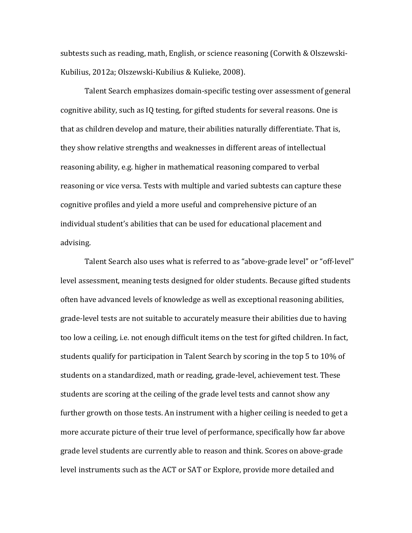subtests such as reading, math, English, or science reasoning (Corwith & Olszewski-Kubilius, 2012a; Olszewski-Kubilius & Kulieke, 2008).

Talent Search emphasizes domain-specific testing over assessment of general cognitive ability, such as IQ testing, for gifted students for several reasons. One is that as children develop and mature, their abilities naturally differentiate. That is, they show relative strengths and weaknesses in different areas of intellectual reasoning ability, e.g. higher in mathematical reasoning compared to verbal reasoning or vice versa. Tests with multiple and varied subtests can capture these cognitive profiles and yield a more useful and comprehensive picture of an individual student's abilities that can be used for educational placement and advising.

Talent Search also uses what is referred to as "above-grade level" or "off-level" level assessment, meaning tests designed for older students. Because gifted students often have advanced levels of knowledge as well as exceptional reasoning abilities, grade-level tests are not suitable to accurately measure their abilities due to having too low a ceiling, i.e. not enough difficult items on the test for gifted children. In fact, students qualify for participation in Talent Search by scoring in the top 5 to  $10\%$  of students on a standardized, math or reading, grade-level, achievement test. These students are scoring at the ceiling of the grade level tests and cannot show any further growth on those tests. An instrument with a higher ceiling is needed to get a more accurate picture of their true level of performance, specifically how far above grade level students are currently able to reason and think. Scores on above-grade level instruments such as the ACT or SAT or Explore, provide more detailed and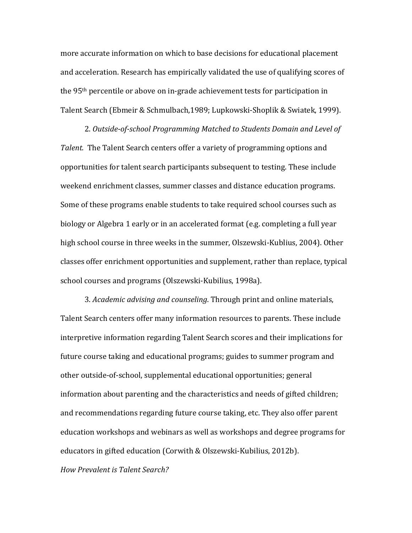more accurate information on which to base decisions for educational placement and acceleration. Research has empirically validated the use of qualifying scores of the 95<sup>th</sup> percentile or above on in-grade achievement tests for participation in Talent Search (Ebmeir & Schmulbach, 1989; Lupkowski-Shoplik & Swiatek, 1999).

2. *Outside-of-school Programming Matched to Students Domain and Level of Talent.* The Talent Search centers offer a variety of programming options and opportunities for talent search participants subsequent to testing. These include weekend enrichment classes, summer classes and distance education programs. Some of these programs enable students to take required school courses such as biology or Algebra 1 early or in an accelerated format (e.g. completing a full year high school course in three weeks in the summer, Olszewski-Kublius, 2004). Other classes offer enrichment opportunities and supplement, rather than replace, typical school courses and programs (Olszewski-Kubilius, 1998a).

3. *Academic advising and counseling*. Through print and online materials, Talent Search centers offer many information resources to parents. These include interpretive information regarding Talent Search scores and their implications for future course taking and educational programs; guides to summer program and other outside-of-school, supplemental educational opportunities; general information about parenting and the characteristics and needs of gifted children; and recommendations regarding future course taking, etc. They also offer parent education workshops and webinars as well as workshops and degree programs for educators in gifted education (Corwith & Olszewski-Kubilius, 2012b).

*How Prevalent is Talent Search?*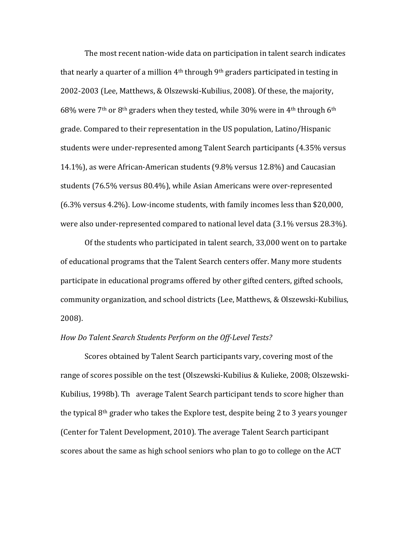The most recent nation-wide data on participation in talent search indicates that nearly a quarter of a million  $4<sup>th</sup>$  through  $9<sup>th</sup>$  graders participated in testing in 2002-2003 (Lee, Matthews, & Olszewski-Kubilius, 2008). Of these, the majority, 68% were  $7<sup>th</sup>$  or 8<sup>th</sup> graders when they tested, while 30% were in 4<sup>th</sup> through 6<sup>th</sup> grade. Compared to their representation in the US population, Latino/Hispanic students were under-represented among Talent Search participants (4.35% versus 14.1%), as were African-American students (9.8% versus 12.8%) and Caucasian students (76.5% versus 80.4%), while Asian Americans were over-represented (6.3% versus 4.2%). Low-income students, with family incomes less than \$20,000, were also under-represented compared to national level data (3.1% versus 28.3%).

Of the students who participated in talent search, 33,000 went on to partake of educational programs that the Talent Search centers offer. Many more students participate in educational programs offered by other gifted centers, gifted schools, community organization, and school districts (Lee, Matthews, & Olszewski-Kubilius, 2008).

## *How Do Talent Search Students Perform on the Off-Level Tests?*

Scores obtained by Talent Search participants vary, covering most of the range of scores possible on the test (Olszewski-Kubilius & Kulieke, 2008; Olszewski-Kubilius, 1998b). Th average Talent Search participant tends to score higher than the typical  $8<sup>th</sup>$  grader who takes the Explore test, despite being 2 to 3 years younger (Center for Talent Development, 2010). The average Talent Search participant scores about the same as high school seniors who plan to go to college on the ACT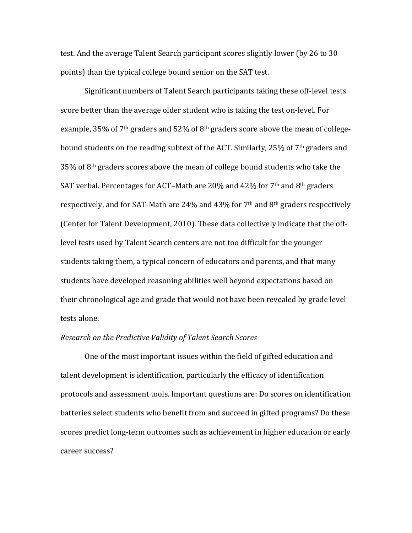test. And the average Talent Search participant scores slightly lower (by 26 to 30) points) than the typical college bound senior on the SAT test.

Significant numbers of Talent Search participants taking these off-level tests score better than the average older student who is taking the test on-level. For example, 35% of 7<sup>th</sup> graders and 52% of 8<sup>th</sup> graders score above the mean of collegebound students on the reading subtext of the ACT. Similarly, 25% of 7<sup>th</sup> graders and  $35\%$  of 8<sup>th</sup> graders scores above the mean of college bound students who take the SAT verbal. Percentages for ACT–Math are 20% and 42% for  $7<sup>th</sup>$  and  $8<sup>th</sup>$  graders respectively, and for SAT-Math are 24% and 43% for 7<sup>th</sup> and 8<sup>th</sup> graders respectively (Center for Talent Development, 2010). These data collectively indicate that the offlevel tests used by Talent Search centers are not too difficult for the younger students taking them, a typical concern of educators and parents, and that many students have developed reasoning abilities well beyond expectations based on their chronological age and grade that would not have been revealed by grade level tests alone.

# *Research on the Predictive Validity of Talent Search Scores*

One of the most important issues within the field of gifted education and talent development is identification, particularly the efficacy of identification protocols and assessment tools. Important questions are: Do scores on identification batteries select students who benefit from and succeed in gifted programs? Do these scores predict long-term outcomes such as achievement in higher education or early career success?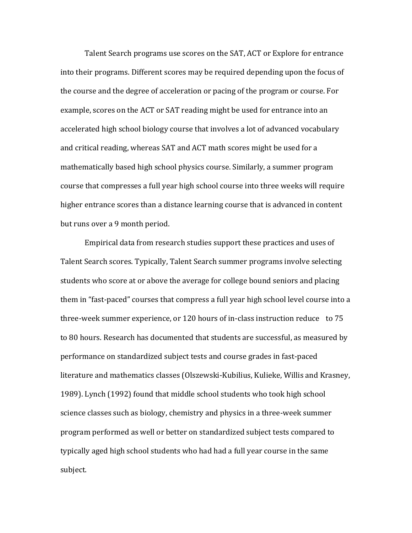Talent Search programs use scores on the SAT, ACT or Explore for entrance into their programs. Different scores may be required depending upon the focus of the course and the degree of acceleration or pacing of the program or course. For example, scores on the ACT or SAT reading might be used for entrance into an accelerated high school biology course that involves a lot of advanced vocabulary and critical reading, whereas SAT and ACT math scores might be used for a mathematically based high school physics course. Similarly, a summer program course that compresses a full year high school course into three weeks will require higher entrance scores than a distance learning course that is advanced in content but runs over a 9 month period.

Empirical data from research studies support these practices and uses of Talent Search scores. Typically, Talent Search summer programs involve selecting students who score at or above the average for college bound seniors and placing them in "fast-paced" courses that compress a full year high school level course into a three-week summer experience, or  $120$  hours of in-class instruction reduce to  $75$ to 80 hours. Research has documented that students are successful, as measured by performance on standardized subject tests and course grades in fast-paced literature and mathematics classes (Olszewski-Kubilius, Kulieke, Willis and Krasney, 1989). Lynch (1992) found that middle school students who took high school science classes such as biology, chemistry and physics in a three-week summer program performed as well or better on standardized subject tests compared to typically aged high school students who had had a full year course in the same subject.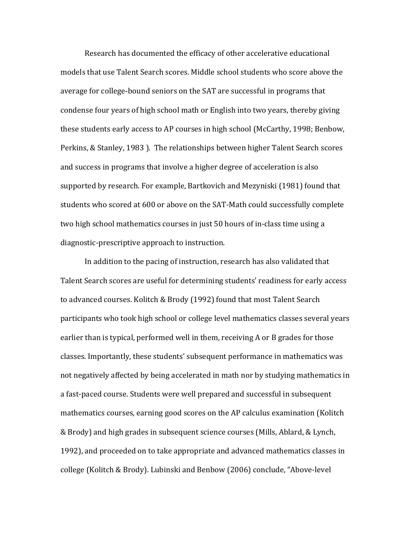Research has documented the efficacy of other accelerative educational models that use Talent Search scores. Middle school students who score above the average for college-bound seniors on the SAT are successful in programs that condense four years of high school math or English into two years, thereby giving these students early access to AP courses in high school (McCarthy, 1998; Benbow, Perkins, & Stanley, 1983). The relationships between higher Talent Search scores and success in programs that involve a higher degree of acceleration is also supported by research. For example, Bartkovich and Mezyniski (1981) found that students who scored at 600 or above on the SAT-Math could successfully complete two high school mathematics courses in just 50 hours of in-class time using a diagnostic-prescriptive approach to instruction.

In addition to the pacing of instruction, research has also validated that Talent Search scores are useful for determining students' readiness for early access to advanced courses. Kolitch & Brody (1992) found that most Talent Search participants who took high school or college level mathematics classes several years earlier than is typical, performed well in them, receiving A or B grades for those classes. Importantly, these students' subsequent performance in mathematics was not negatively affected by being accelerated in math nor by studying mathematics in a fast-paced course. Students were well prepared and successful in subsequent mathematics courses, earning good scores on the AP calculus examination (Kolitch & Brody) and high grades in subsequent science courses (Mills, Ablard, & Lynch, 1992), and proceeded on to take appropriate and advanced mathematics classes in college (Kolitch & Brody). Lubinski and Benbow (2006) conclude, "Above-level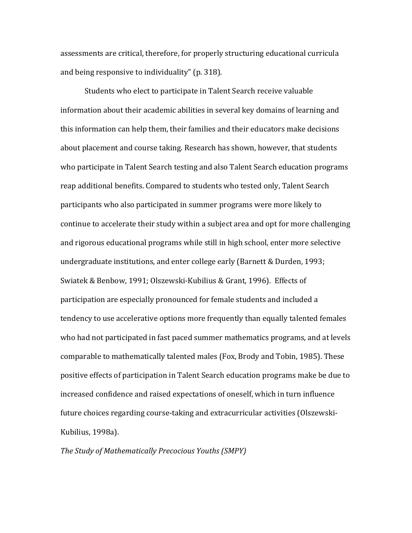assessments are critical, therefore, for properly structuring educational curricula and being responsive to individuality" (p. 318).

Students who elect to participate in Talent Search receive valuable information about their academic abilities in several key domains of learning and this information can help them, their families and their educators make decisions about placement and course taking. Research has shown, however, that students who participate in Talent Search testing and also Talent Search education programs reap additional benefits. Compared to students who tested only, Talent Search participants who also participated in summer programs were more likely to continue to accelerate their study within a subject area and opt for more challenging and rigorous educational programs while still in high school, enter more selective undergraduate institutions, and enter college early (Barnett & Durden, 1993; Swiatek & Benbow, 1991; Olszewski-Kubilius & Grant, 1996). Effects of participation are especially pronounced for female students and included a tendency to use accelerative options more frequently than equally talented females who had not participated in fast paced summer mathematics programs, and at levels comparable to mathematically talented males (Fox, Brody and Tobin, 1985). These positive effects of participation in Talent Search education programs make be due to increased confidence and raised expectations of oneself, which in turn influence future choices regarding course-taking and extracurricular activities (Olszewski-Kubilius, 1998a).

**The Study of Mathematically Precocious Youths (SMPY)**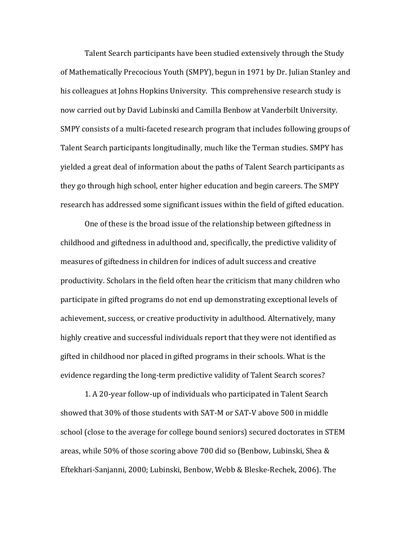Talent Search participants have been studied extensively through the Study of Mathematically Precocious Youth (SMPY), begun in 1971 by Dr. Julian Stanley and his colleagues at Johns Hopkins University. This comprehensive research study is now carried out by David Lubinski and Camilla Benbow at Vanderbilt University. SMPY consists of a multi-faceted research program that includes following groups of Talent Search participants longitudinally, much like the Terman studies. SMPY has yielded a great deal of information about the paths of Talent Search participants as they go through high school, enter higher education and begin careers. The SMPY research has addressed some significant issues within the field of gifted education.

One of these is the broad issue of the relationship between giftedness in childhood and giftedness in adulthood and, specifically, the predictive validity of measures of giftedness in children for indices of adult success and creative productivity. Scholars in the field often hear the criticism that many children who participate in gifted programs do not end up demonstrating exceptional levels of achievement, success, or creative productivity in adulthood. Alternatively, many highly creative and successful individuals report that they were not identified as gifted in childhood nor placed in gifted programs in their schools. What is the evidence regarding the long-term predictive validity of Talent Search scores?

1. A 20-year follow-up of individuals who participated in Talent Search showed that 30% of those students with SAT-M or SAT-V above 500 in middle school (close to the average for college bound seniors) secured doctorates in STEM areas, while 50% of those scoring above 700 did so (Benbow, Lubinski, Shea  $\&$ Eftekhari-Sanjanni, 2000; Lubinski, Benbow, Webb & Bleske-Rechek, 2006). The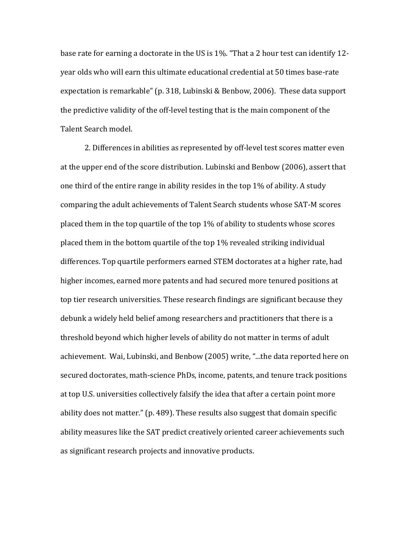base rate for earning a doctorate in the US is  $1\%$ . "That a 2 hour test can identify 12year olds who will earn this ultimate educational credential at 50 times base-rate expectation is remarkable" (p. 318, Lubinski & Benbow, 2006). These data support the predictive validity of the off-level testing that is the main component of the Talent Search model.

2. Differences in abilities as represented by off-level test scores matter even at the upper end of the score distribution. Lubinski and Benbow (2006), assert that one third of the entire range in ability resides in the top  $1\%$  of ability. A study comparing the adult achievements of Talent Search students whose SAT-M scores placed them in the top quartile of the top 1% of ability to students whose scores placed them in the bottom quartile of the top 1% revealed striking individual differences. Top quartile performers earned STEM doctorates at a higher rate, had higher incomes, earned more patents and had secured more tenured positions at top tier research universities. These research findings are significant because they debunk a widely held belief among researchers and practitioners that there is a threshold beyond which higher levels of ability do not matter in terms of adult achievement. Wai, Lubinski, and Benbow (2005) write, "...the data reported here on secured doctorates, math-science PhDs, income, patents, and tenure track positions at top U.S. universities collectively falsify the idea that after a certain point more ability does not matter." (p. 489). These results also suggest that domain specific ability measures like the SAT predict creatively oriented career achievements such as significant research projects and innovative products.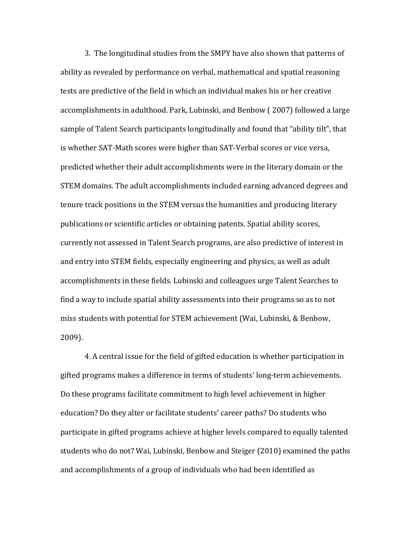3. The longitudinal studies from the SMPY have also shown that patterns of ability as revealed by performance on verbal, mathematical and spatial reasoning tests are predictive of the field in which an individual makes his or her creative accomplishments in adulthood. Park, Lubinski, and Benbow (2007) followed a large sample of Talent Search participants longitudinally and found that "ability tilt", that is whether SAT-Math scores were higher than SAT-Verbal scores or vice versa, predicted whether their adult accomplishments were in the literary domain or the STEM domains. The adult accomplishments included earning advanced degrees and tenure track positions in the STEM versus the humanities and producing literary publications or scientific articles or obtaining patents. Spatial ability scores, currently not assessed in Talent Search programs, are also predictive of interest in and entry into STEM fields, especially engineering and physics, as well as adult accomplishments in these fields. Lubinski and colleagues urge Talent Searches to find a way to include spatial ability assessments into their programs so as to not miss students with potential for STEM achievement (Wai, Lubinski, & Benbow, 2009).

4. A central issue for the field of gifted education is whether participation in gifted programs makes a difference in terms of students' long-term achievements. Do these programs facilitate commitment to high level achievement in higher education? Do they alter or facilitate students' career paths? Do students who participate in gifted programs achieve at higher levels compared to equally talented students who do not? Wai, Lubinski, Benbow and Steiger (2010) examined the paths and accomplishments of a group of individuals who had been identified as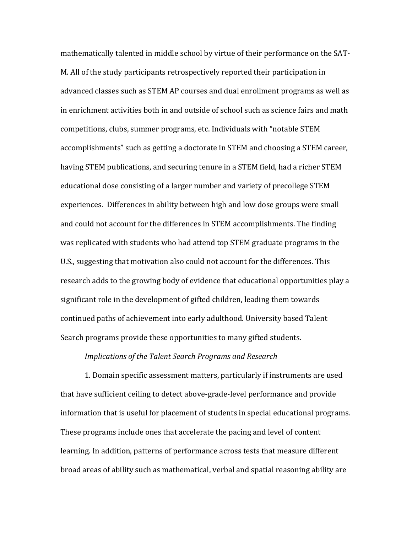mathematically talented in middle school by virtue of their performance on the SAT-M. All of the study participants retrospectively reported their participation in advanced classes such as STEM AP courses and dual enrollment programs as well as in enrichment activities both in and outside of school such as science fairs and math competitions, clubs, summer programs, etc. Individuals with "notable STEM accomplishments" such as getting a doctorate in STEM and choosing a STEM career, having STEM publications, and securing tenure in a STEM field, had a richer STEM educational dose consisting of a larger number and variety of precollege STEM experiences. Differences in ability between high and low dose groups were small and could not account for the differences in STEM accomplishments. The finding was replicated with students who had attend top STEM graduate programs in the U.S., suggesting that motivation also could not account for the differences. This research adds to the growing body of evidence that educational opportunities play a significant role in the development of gifted children, leading them towards continued paths of achievement into early adulthood. University based Talent Search programs provide these opportunities to many gifted students.

# *Implications of the Talent Search Programs and Research*

1. Domain specific assessment matters, particularly if instruments are used that have sufficient ceiling to detect above-grade-level performance and provide information that is useful for placement of students in special educational programs. These programs include ones that accelerate the pacing and level of content learning. In addition, patterns of performance across tests that measure different broad areas of ability such as mathematical, verbal and spatial reasoning ability are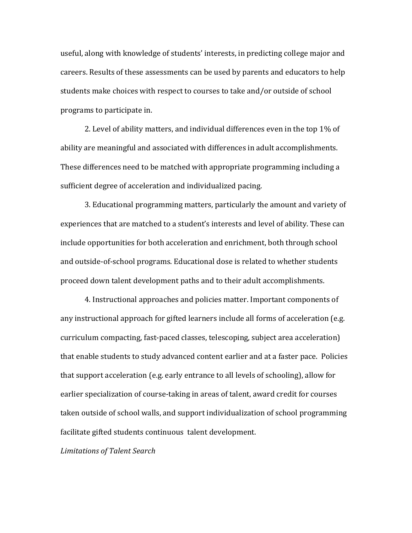useful, along with knowledge of students' interests, in predicting college major and careers. Results of these assessments can be used by parents and educators to help students make choices with respect to courses to take and/or outside of school programs to participate in.

2. Level of ability matters, and individual differences even in the top  $1\%$  of ability are meaningful and associated with differences in adult accomplishments. These differences need to be matched with appropriate programming including a sufficient degree of acceleration and individualized pacing.

3. Educational programming matters, particularly the amount and variety of experiences that are matched to a student's interests and level of ability. These can include opportunities for both acceleration and enrichment, both through school and outside-of-school programs. Educational dose is related to whether students proceed down talent development paths and to their adult accomplishments.

4. Instructional approaches and policies matter. Important components of any instructional approach for gifted learners include all forms of acceleration (e.g. curriculum compacting, fast-paced classes, telescoping, subject area acceleration) that enable students to study advanced content earlier and at a faster pace. Policies that support acceleration (e.g. early entrance to all levels of schooling), allow for earlier specialization of course-taking in areas of talent, award credit for courses taken outside of school walls, and support individualization of school programming facilitate gifted students continuous talent development.

*Limitations of Talent Search*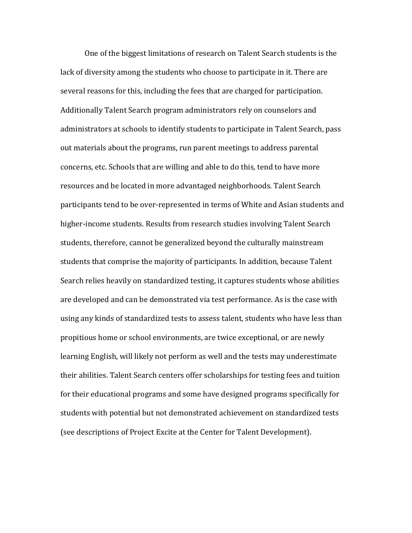One of the biggest limitations of research on Talent Search students is the lack of diversity among the students who choose to participate in it. There are several reasons for this, including the fees that are charged for participation. Additionally Talent Search program administrators rely on counselors and administrators at schools to identify students to participate in Talent Search, pass out materials about the programs, run parent meetings to address parental concerns, etc. Schools that are willing and able to do this, tend to have more resources and be located in more advantaged neighborhoods. Talent Search participants tend to be over-represented in terms of White and Asian students and higher-income students. Results from research studies involving Talent Search students, therefore, cannot be generalized beyond the culturally mainstream students that comprise the majority of participants. In addition, because Talent Search relies heavily on standardized testing, it captures students whose abilities are developed and can be demonstrated via test performance. As is the case with using any kinds of standardized tests to assess talent, students who have less than propitious home or school environments, are twice exceptional, or are newly learning English, will likely not perform as well and the tests may underestimate their abilities. Talent Search centers offer scholarships for testing fees and tuition for their educational programs and some have designed programs specifically for students with potential but not demonstrated achievement on standardized tests (see descriptions of Project Excite at the Center for Talent Development).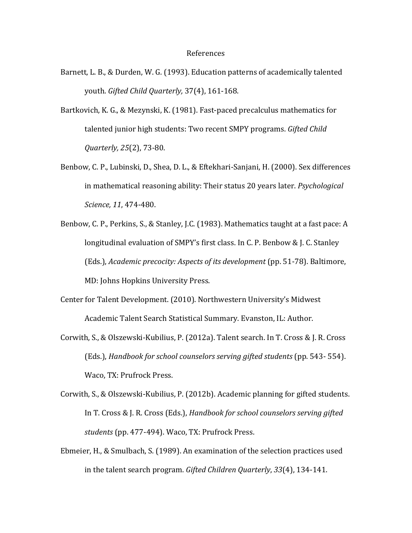#### References

- Barnett, L. B., & Durden, W. G. (1993). Education patterns of academically talented youth. *Gifted Child Quarterly,* 37(4), 161-168.
- Bartkovich, K. G., & Mezynski, K. (1981). Fast-paced precalculus mathematics for talented junior high students: Two recent SMPY programs. *Gifted Child Quarterly, 25*(2), 73-80.
- Benbow, C. P., Lubinski, D., Shea, D. L., & Eftekhari-Sanjani, H. (2000). Sex differences in mathematical reasoning ability: Their status 20 years later. *Psychological Science, 11*, 474-480.
- Benbow, C. P., Perkins, S., & Stanley, J.C. (1983). Mathematics taught at a fast pace: A longitudinal evaluation of SMPY's first class. In C. P. Benbow & J. C. Stanley (Eds.), *Academic precocity: Aspects of its development* (pp. 51-78). Baltimore, MD: Johns Hopkins University Press.
- Center for Talent Development. (2010). Northwestern University's Midwest Academic Talent Search Statistical Summary. Evanston, IL: Author.
- Corwith, S., & Olszewski-Kubilius, P. (2012a). Talent search. In T. Cross & J. R. Cross (Eds.), *Handbook for school counselors serving gifted students* (pp. 543- 554). Waco, TX: Prufrock Press.
- Corwith, S., & Olszewski-Kubilius, P. (2012b). Academic planning for gifted students. In T. Cross & J. R. Cross (Eds.), *Handbook for school counselors serving gifted* students (pp. 477-494). Waco, TX: Prufrock Press.
- Ebmeier, H., & Smulbach, S. (1989). An examination of the selection practices used in the talent search program. *Gifted Children Quarterly*, *33*(4), 134-141.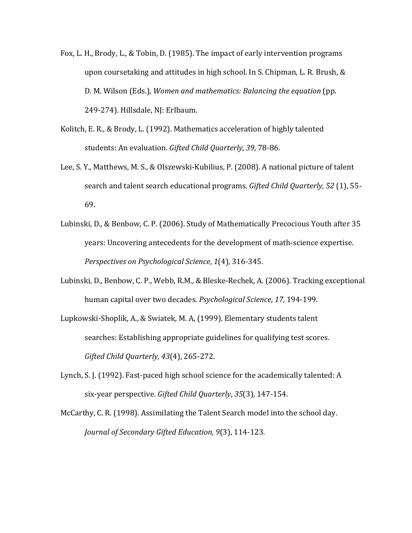- Fox, L. H., Brody, L., & Tobin, D. (1985). The impact of early intervention programs upon coursetaking and attitudes in high school. In S. Chipman, L. R. Brush, & D. M. Wilson (Eds.), *Women and mathematics: Balancing the equation* (pp. 249-274). Hillsdale, NJ: Erlbaum.
- Kolitch, E. R., & Brody, L. (1992). Mathematics acceleration of highly talented students: An evaluation. *Gifted Child Quarterly, 39*, 78-86.
- Lee, S. Y., Matthews, M. S., & Olszewski-Kubilius, P. (2008). A national picture of talent search and talent search educational programs. *Gifted Child Quarterly, 52* (1), 55- 69.
- Lubinski, D., & Benbow, C. P. (2006). Study of Mathematically Precocious Youth after 35 years: Uncovering antecedents for the development of math-science expertise. *Perspectives on Psychological Science*, *1*(4), 316-345.
- Lubinski, D., Benbow, C. P., Webb, R.M., & Bleske-Rechek, A. (2006). Tracking exceptional human capital over two decades. *Psychological Science*, *17*, 194-199.
- Lupkowski-Shoplik, A., & Swiatek, M. A, (1999). Elementary students talent searches: Establishing appropriate guidelines for qualifying test scores. *Gifted Child Quarterly, 43*(4), 265-272.
- Lynch, S. J. (1992). Fast-paced high school science for the academically talented: A six-year perspective. Gifted Child Quarterly, 35(3), 147-154.
- McCarthy, C. R. (1998). Assimilating the Talent Search model into the school day. *Journal of Secondary Gifted Education, 9*(3), 114-123.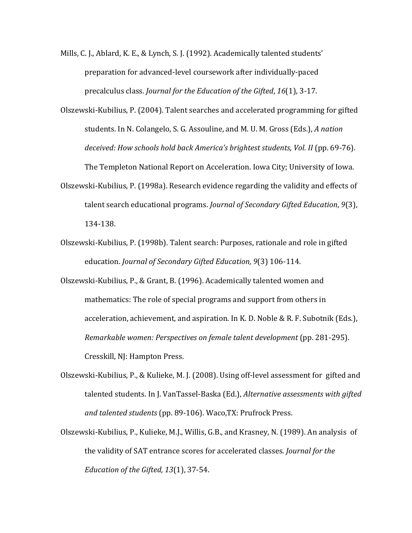- Mills, C. J., Ablard, K. E., & Lynch, S. J. (1992). Academically talented students' preparation for advanced-level coursework after individually-paced precalculus class. *Journal for the Education of the Gifted*, *16*(1), 3-17.
- Olszewski-Kubilius, P. (2004). Talent searches and accelerated programming for gifted students. In N. Colangelo, S. G. Assouline, and M. U. M. Gross (Eds.), *A nation deceived: How schools hold back America's brightest students, Vol. II* (pp. 69-76). The Templeton National Report on Acceleration. Iowa City; University of Iowa.
- Olszewski-Kubilius, P. (1998a). Research evidence regarding the validity and effects of talent search educational programs. *Journal of Secondary Gifted Education*, *9*(3), 134-138.
- Olszewski-Kubilius, P. (1998b). Talent search: Purposes, rationale and role in gifted education. *Journal of Secondary Gifted Education, 9*(3) 106-114.
- Olszewski-Kubilius, P., & Grant, B. (1996). Academically talented women and mathematics: The role of special programs and support from others in acceleration, achievement, and aspiration. In K. D. Noble & R. F. Subotnik (Eds.), *Remarkable women: Perspectives on female talent development* (pp. 281-295). Cresskill, NJ: Hampton Press.
- Olszewski-Kubilius, P., & Kulieke, M. J. (2008). Using off-level assessment for gifted and talented students. In J. VanTassel-Baska (Ed.), *Alternative assessments with gifted and talented students* (pp. 89-106). Waco,TX: Prufrock Press.
- Olszewski-Kubilius, P., Kulieke, M.J., Willis, G.B., and Krasney, N. (1989). An analysis of the validity of SAT entrance scores for accelerated classes. *Journal for the Education of the Gifted, 13*(1), 37-54.